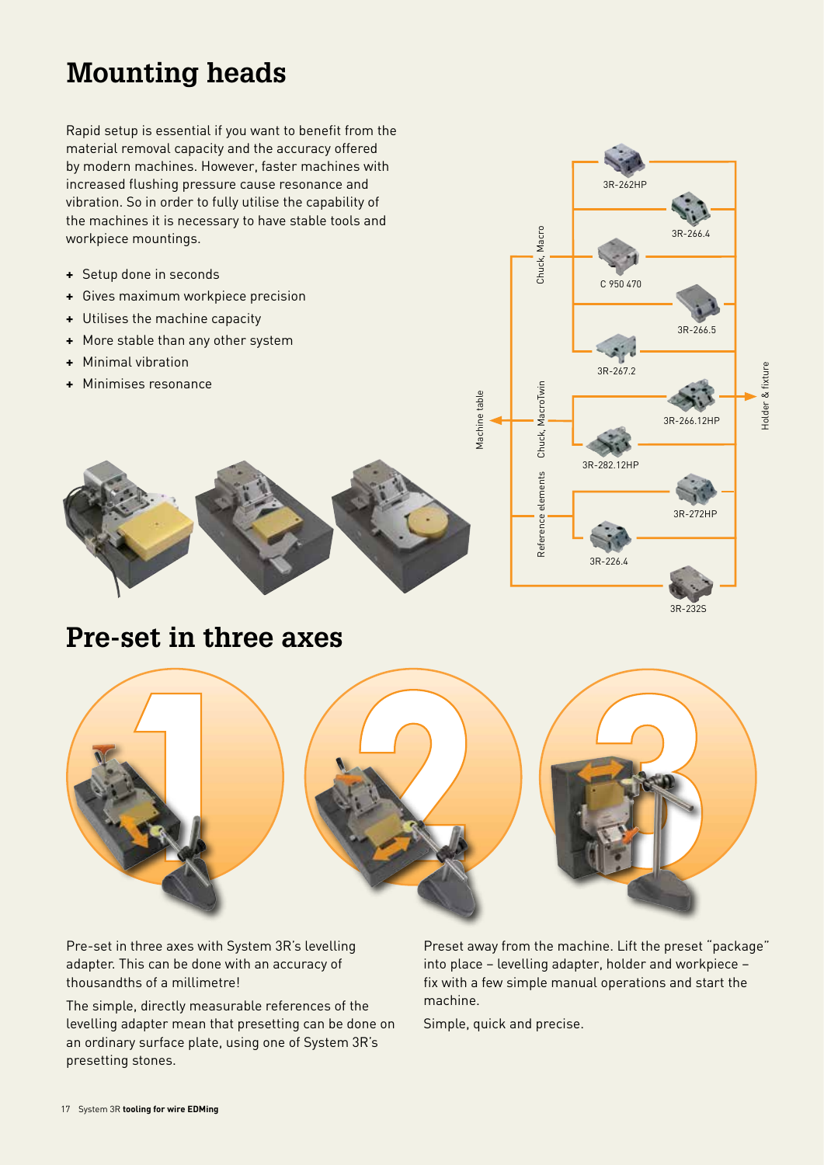# **Mounting heads**

Rapid setup is essential if you want to benefit from the material removal capacity and the accuracy offered by modern machines. However, faster machines with increased flushing pressure cause resonance and vibration. So in order to fully utilise the capability of the machines it is necessary to have stable tools and workpiece mountings.

- **+** Setup done in seconds
- **+** Gives maximum workpiece precision
- **+** Utilises the machine capacity
- **+** More stable than any other system
- **+** Minimal vibration
- **+** Minimises resonance





## **Pre-set in three axes**



Pre-set in three axes with System 3R's levelling adapter. This can be done with an accuracy of thousandths of a millimetre!

The simple, directly measurable references of the levelling adapter mean that presetting can be done on an ordinary surface plate, using one of System 3R's presetting stones.

Preset away from the machine. Lift the preset "package" into place – levelling adapter, holder and workpiece – fix with a few simple manual operations and start the machine.

Simple, quick and precise.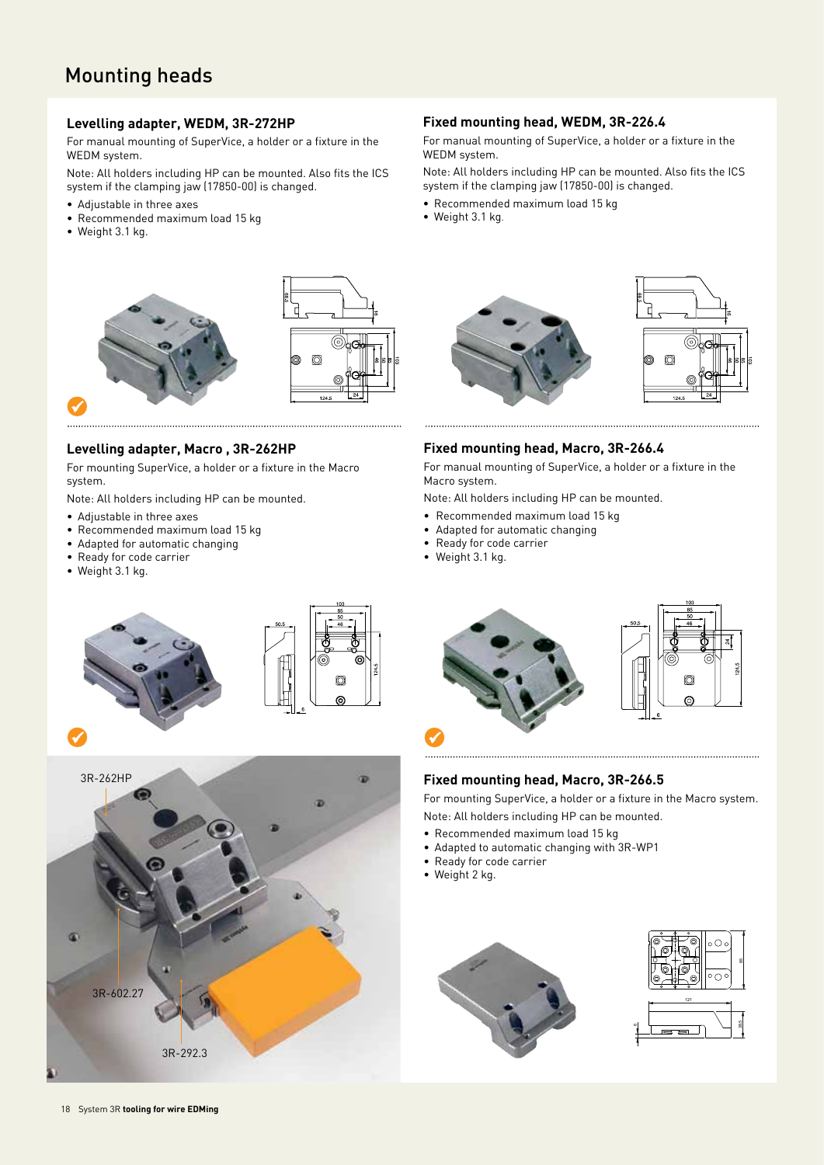### Mounting heads

#### **Levelling adapter, WEDM, 3R-272HP**

For manual mounting of SuperVice, a holder or a fixture in the WEDM system.

Note: All holders including HP can be mounted. Also fits the ICS system if the clamping jaw (17850-00) is changed.

- Adjustable in three axes
- Recommended maximum load 15 kg
- Weight 3.1 kg.



#### **Levelling adapter, Macro , 3R-262HP**

For mounting SuperVice, a holder or a fixture in the Macro system.

Note: All holders including HP can be mounted.

- Adjustable in three axes
- Recommended maximum load 15 kg
- Adapted for automatic changing
- Ready for code carrier
- Weight 3.1 kg.

 $\checkmark$ 





#### **Fixed mounting head, WEDM, 3R-226.4**

For manual mounting of SuperVice, a holder or a fixture in the WEDM system.

Note: All holders including HP can be mounted. Also fits the ICS system if the clamping jaw (17850-00) is changed.

- Recommended maximum load 15 kg
- Weight 3.1 kg.



#### **Fixed mounting head, Macro, 3R-266.4**

For manual mounting of SuperVice, a holder or a fixture in the Macro system.

Note: All holders including HP can be mounted.

- Recommended maximum load 15 kg
- Adapted for automatic changing
- Ready for code carrier
- Weight 3.1 kg.





#### **Fixed mounting head, Macro, 3R-266.5**

For mounting SuperVice, a holder or a fixture in the Macro system. Note: All holders including HP can be mounted.

- 
- Recommended maximum load 15 kg
- Adapted to automatic changing with 3R-WP1
- Ready for code carrier
- Weight 2 kg.



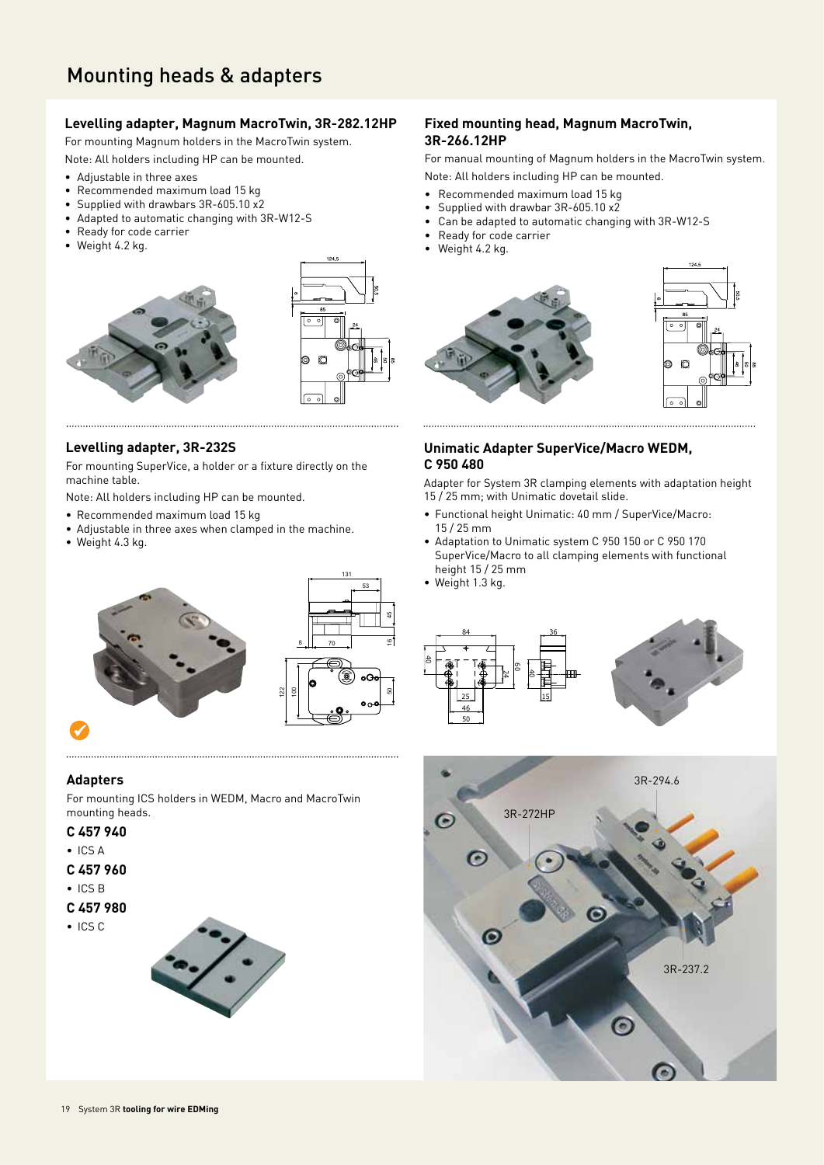#### **Levelling adapter, Magnum MacroTwin, 3R-282.12HP**

For mounting Magnum holders in the MacroTwin system.

- Note: All holders including HP can be mounted.
- Adjustable in three axes
- Recommended maximum load 15 kg
- Supplied with drawbars 3R-605.10 x2
- Adapted to automatic changing with 3R-W12-S
- Ready for code carrier
- Weight 4.2 kg.





53

4

9

ន

#### **Levelling adapter, 3R-232S**

For mounting SuperVice, a holder or a fixture directly on the machine table.

Note: All holders including HP can be mounted.

- Recommended maximum load 15 kg
- Adjustable in three axes when clamped in the machine.
- Weight 4.3 kg.

#### **Fixed mounting head, Magnum MacroTwin, 3R-266.12HP**

For manual mounting of Magnum holders in the MacroTwin system. Note: All holders including HP can be mounted.

- Recommended maximum load 15 kg
- Supplied with drawbar 3R-605.10 x2
- Can be adapted to automatic changing with 3R-W12-S
- Ready for code carrier
- Weight 4.2 kg.



#### **Unimatic Adapter SuperVice/Macro WEDM, C 950 480**

Adapter for System 3R clamping elements with adaptation height 15 / 25 mm; with Unimatic dovetail slide.

- Functional height Unimatic: 40 mm / SuperVice/Macro: 15 / 25 mm
- Adaptation to Unimatic system C 950 150 or C 950 170 SuperVice/Macro to all clamping elements with functional height 15 / 25 mm
- Weight 1.3 kg.







#### **Adapters**

For mounting ICS holders in WEDM, Macro and MacroTwin mounting heads.

#### **C 457 940**

- ICS A
- **C 457 960**
- ICS B
- **C 457 980**
- ICS C

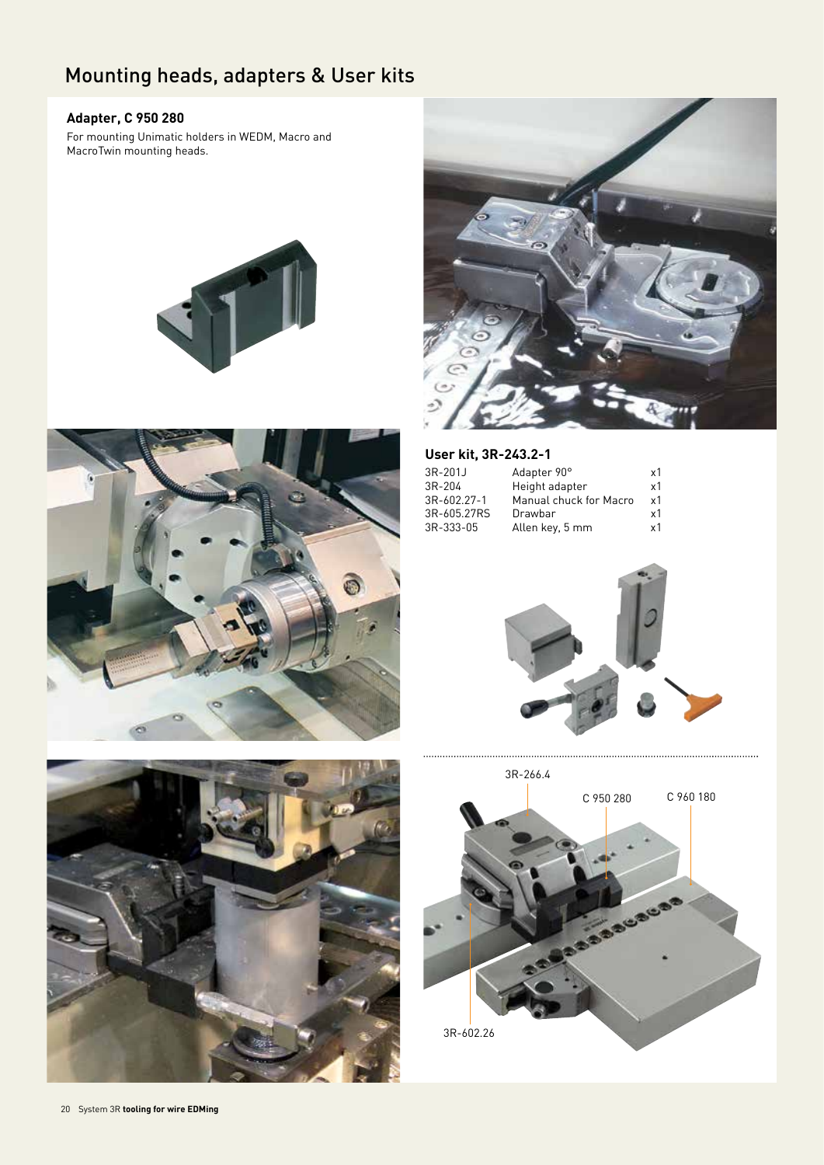### Mounting heads, adapters & User kits

#### **Adapter, C 950 280**

For mounting Unimatic holders in WEDM, Macro and MacroTwin mounting heads.









### **User kit, 3R-243.2-1**

| $3R-201J$   | Adapter 90°            | x1 |
|-------------|------------------------|----|
| 3R-204      | Height adapter         | x1 |
| 3R-602.27-1 | Manual chuck for Macro | x1 |
| 3R-605.27RS | Drawbar                | x1 |
| 3R-333-05   | Allen key, 5 mm        | x1 |